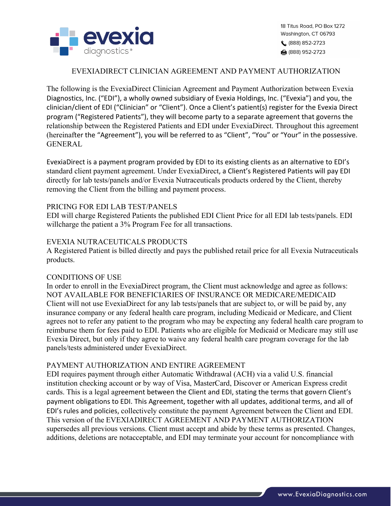

### EVEXIADIRECT CLINICIAN AGREEMENT AND PAYMENT AUTHORIZATION

The following is the EvexiaDirect Clinician Agreement and Payment Authorization between Evexia Diagnostics, Inc. ("EDI"), a wholly owned subsidiary of Evexia Holdings, Inc. ("Evexia") and you, the clinician/client of EDI ("Clinician" or "Client"). Once a Client's patient(s) register for the Evexia Direct program ("Registered Patients"), they will become party to a separate agreement that governs the relationship between the Registered Patients and EDI under EvexiaDirect. Throughout this agreement (hereinafter the "Agreement"), you will be referred to as "Client", "You" or "Your" in the possessive. GENERAL

EvexiaDirect is a payment program provided by EDI to its existing clients as an alternative to EDI's standard client payment agreement. Under EvexiaDirect, a Client's Registered Patients will pay EDI directly for lab tests/panels and/or Evexia Nutraceuticals products ordered by the Client, thereby removing the Client from the billing and payment process.

#### PRICING FOR EDI LAB TEST/PANELS

EDI will charge Registered Patients the published EDI Client Price for all EDI lab tests/panels. EDI willcharge the patient a 3% Program Fee for all transactions.

## EVEXIA NUTRACEUTICALS PRODUCTS

A Registered Patient is billed directly and pays the published retail price for all Evexia Nutraceuticals products.

#### CONDITIONS OF USE

In order to enroll in the EvexiaDirect program, the Client must acknowledge and agree as follows: NOT AVAILABLE FOR BENEFICIARIES OF INSURANCE OR MEDICARE/MEDICAID Client will not use EvexiaDirect for any lab tests/panels that are subject to, or will be paid by, any insurance company or any federal health care program, including Medicaid or Medicare, and Client agrees not to refer any patient to the program who may be expecting any federal health care program to reimburse them for fees paid to EDI. Patients who are eligible for Medicaid or Medicare may still use Evexia Direct, but only if they agree to waive any federal health care program coverage for the lab panels/tests administered under EvexiaDirect.

#### PAYMENT AUTHORIZATION AND ENTIRE AGREEMENT

EDI requires payment through either Automatic Withdrawal (ACH) via a valid U.S. financial institution checking account or by way of Visa, MasterCard, Discover or American Express credit cards. This is a legal agreement between the Client and EDI, stating the terms that govern Client's payment obligations to EDI. This Agreement, together with all updates, additional terms, and all of EDI's rules and policies, collectively constitute the payment Agreement between the Client and EDI. This version of the EVEXIADIRECT AGREEMENT AND PAYMENT AUTHORIZATION supersedes all previous versions. Client must accept and abide by these terms as presented. Changes, additions, deletions are notacceptable, and EDI may terminate your account for noncompliance with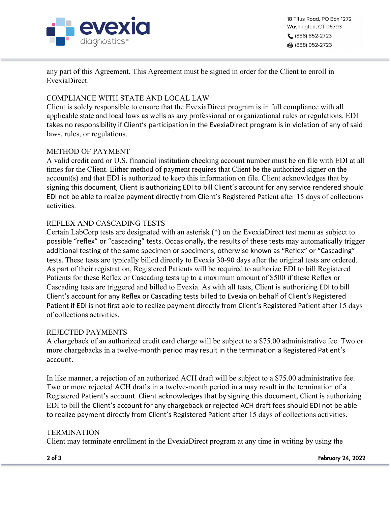

18 Titus Road, PO Box 1272 Washington, CT 06793 (888) 852-2723 ਿਗ (888) 952-2723

any part of this Agreement. This Agreement must be signed in order for the Client to enroll in EvexiaDirect.

## COMPLIANCE WITH STATE AND LOCAL LAW

Client is solely responsible to ensure that the EvexiaDirect program is in full compliance with all applicable state and local laws as wells as any professional or organizational rules or regulations. EDI takes no responsibility if Client's participation in the EvexiaDirect program is in violation of any of said laws, rules, or regulations.

#### METHOD OF PAYMENT

A valid credit card or U.S. financial institution checking account number must be on file with EDI at all times for the Client. Either method of payment requires that Client be the authorized signer on the account(s) and that EDI is authorized to keep this information on file. Client acknowledges that by signing this document, Client is authorizing EDI to bill Client's account for any service rendered should EDI not be able to realize payment directly from Client's Registered Patient after 15 days of collections activities.

## REFLEX AND CASCADING TESTS

Certain LabCorp tests are designated with an asterisk (\*) on the EvexiaDirect test menu as subject to possible "reflex" or "cascading" tests. Occasionally, the results of these tests may automatically trigger additional testing of the same specimen or specimens, otherwise known as "Reflex" or "Cascading" tests. These tests are typically billed directly to Evexia 30-90 days after the original tests are ordered. As part of their registration, Registered Patients will be required to authorize EDI to bill Registered Patients for these Reflex or Cascading tests up to a maximum amount of \$500 if these Reflex or Cascading tests are triggered and billed to Evexia. As with all tests, Client is authorizing EDI to bill Client's account for any Reflex or Cascading tests billed to Evexia on behalf of Client's Registered Patient if EDI is not first able to realize payment directly from Client's Registered Patient after 15 days of collections activities.

#### REJECTED PAYMENTS

A chargeback of an authorized credit card charge will be subject to a \$75.00 administrative fee. Two or more chargebacks in a twelve-month period may result in the termination a Registered Patient's account.

In like manner, a rejection of an authorized ACH draft will be subject to a \$75.00 administrative fee. Two or more rejected ACH drafts in a twelve-month period in a may result in the termination of a Registered Patient's account. Client acknowledges that by signing this document, Client is authorizing EDI to bill the Client's account for any chargeback or rejected ACH draft fees should EDI not be able to realize payment directly from Client's Registered Patient after 15 days of collections activities.

#### **TERMINATION**

Client may terminate enrollment in the EvexiaDirect program at any time in writing by using the